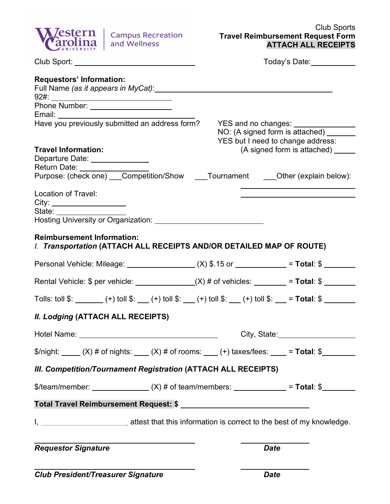

|                                                                                                                                                                          | Today's Date:                                                              |                             |  |  |  |
|--------------------------------------------------------------------------------------------------------------------------------------------------------------------------|----------------------------------------------------------------------------|-----------------------------|--|--|--|
| <b>Requestors' Information:</b><br>Full Name (as it appears in MyCat): Manual Annual Annual Annual Annual Annual Annual Annual Annual Annual Annu                        |                                                                            |                             |  |  |  |
| Phone Number: ______________________                                                                                                                                     |                                                                            |                             |  |  |  |
| Have you previously submitted an address form?                                                                                                                           | YES and no changes: ______________                                         |                             |  |  |  |
|                                                                                                                                                                          | NO: (A signed form is attached) _____<br>YES but I need to change address: |                             |  |  |  |
| <b>Travel Information:</b><br>Departure Date: _______________<br>Return Date: _________________                                                                          |                                                                            | (A signed form is attached) |  |  |  |
| Purpose: (check one) ___Competition/Show ____Tournament ____Other (explain below):                                                                                       |                                                                            |                             |  |  |  |
| Location of Travel:<br>State: <u>________________</u>                                                                                                                    |                                                                            |                             |  |  |  |
| Hosting University or Organization: Network of the Materian American American American American American American                                                        |                                                                            |                             |  |  |  |
| <b>Reimbursement Information:</b><br>I. Transportation (ATTACH ALL RECEIPTS AND/OR DETAILED MAP OF ROUTE)                                                                |                                                                            |                             |  |  |  |
| Personal Vehicle: Mileage: ________________(X) \$.15 or ___________= Total: \$ _______                                                                                   |                                                                            |                             |  |  |  |
| Rental Vehicle: $\oint$ per vehicle: _____________(X) # of vehicles: _______= Total: $\oint$ _______                                                                     |                                                                            |                             |  |  |  |
| Tolls: toll $\frac{1}{2}$ : _________(+) toll $\frac{1}{2}$ : ___(+) toll $\frac{1}{2}$ : __(+) toll $\frac{1}{2}$ : __(+) toll $\frac{1}{2}$ : __= Total: $\frac{1}{2}$ |                                                                            |                             |  |  |  |
| <b>II. Lodging (ATTACH ALL RECEIPTS)</b>                                                                                                                                 |                                                                            |                             |  |  |  |
|                                                                                                                                                                          |                                                                            | City, State: City, State:   |  |  |  |
| \$/night: _____ (X) # of nights: ____ (X) # of rooms: ___ (+) taxes/fees: ____ = Total: \$                                                                               |                                                                            |                             |  |  |  |
| III. Competition/Tournament Registration (ATTACH ALL RECEIPTS)                                                                                                           |                                                                            |                             |  |  |  |
| \$/team/member: ________________(X) # of team/members: ______________= Total: \$                                                                                         |                                                                            |                             |  |  |  |
|                                                                                                                                                                          |                                                                            |                             |  |  |  |
|                                                                                                                                                                          |                                                                            |                             |  |  |  |
| <b>Requestor Signature</b>                                                                                                                                               | <b>Date</b>                                                                |                             |  |  |  |